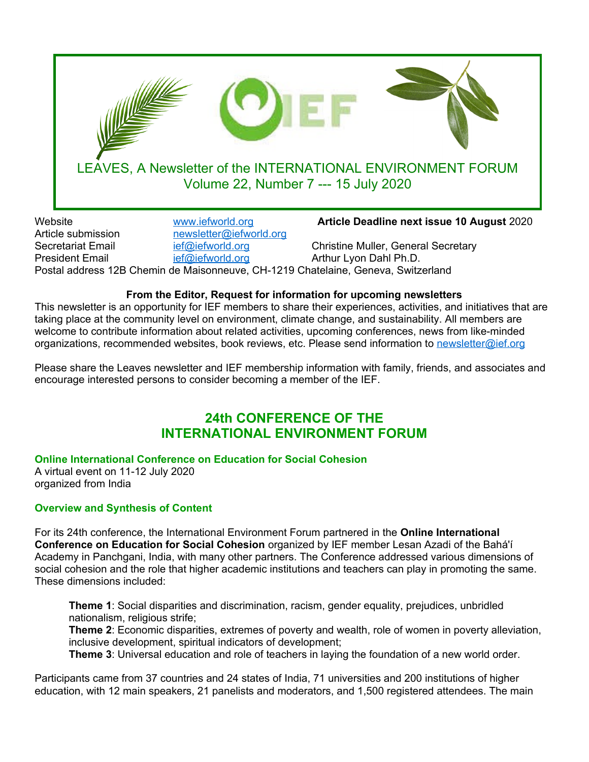

Secretariat Email [ief@iefworld.org](mailto:ief@iefworld.org) Christine Muller, General Secretary President Email [ief@iefworld.org](mailto:ief@iefworld.org) **Arthur Lyon Dahl Ph.D.** Postal address 12B Chemin de Maisonneuve, CH-1219 Chatelaine, Geneva, Switzerland

#### **From the Editor, Request for information for upcoming newsletters**

This newsletter is an opportunity for IEF members to share their experiences, activities, and initiatives that are taking place at the community level on environment, climate change, and sustainability. All members are welcome to contribute information about related activities, upcoming conferences, news from like-minded organizations, recommended websites, book reviews, etc. Please send information to newsletter@ief.org

Please share the Leaves newsletter and IEF membership information with family, friends, and associates and encourage interested persons to consider becoming a member of the IEF.

# **24th CONFERENCE OF THE INTERNATIONAL ENVIRONMENT FORUM**

#### **Online International Conference on Education for Social Cohesion**

A virtual event on 11-12 July 2020 organized from India

#### **Overview and Synthesis of Content**

For its 24th conference, the International Environment Forum partnered in the **Online International Conference on Education for Social Cohesion** organized by IEF member Lesan Azadi of the Bahá'í Academy in Panchgani, India, with many other partners. The Conference addressed various dimensions of social cohesion and the role that higher academic institutions and teachers can play in promoting the same. These dimensions included:

**Theme 1**: Social disparities and discrimination, racism, gender equality, prejudices, unbridled nationalism, religious strife;

**Theme 2**: Economic disparities, extremes of poverty and wealth, role of women in poverty alleviation, inclusive development, spiritual indicators of development;

**Theme 3**: Universal education and role of teachers in laying the foundation of a new world order.

Participants came from 37 countries and 24 states of India, 71 universities and 200 institutions of higher education, with 12 main speakers, 21 panelists and moderators, and 1,500 registered attendees. The main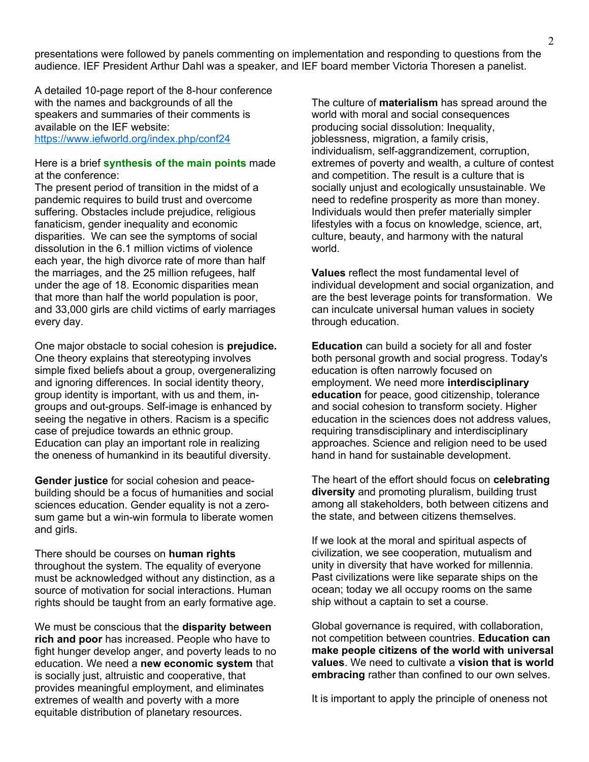presentations were followed by panels commenting on implementation and responding to questions from the audience. IEF President Arthur Dahl was a speaker, and IEF board member Victoria Thoresen a panelist.

A detailed 10-page report of the 8-hour conference with the names and backgrounds of all the speakers and summaries of their comments is available on the IEF website: <https://www.iefworld.org/index.php/conf24>

#### Here is a brief **synthesis of the main points** made at the conference:

The present period of transition in the midst of a pandemic requires to build trust and overcome suffering. Obstacles include prejudice, religious fanaticism, gender inequality and economic disparities. We can see the symptoms of social dissolution in the 6.1 million victims of violence each year, the high divorce rate of more than half the marriages, and the 25 million refugees, half under the age of 18. Economic disparities mean that more than half the world population is poor, and 33,000 girls are child victims of early marriages every day.

One major obstacle to social cohesion is **prejudice.** One theory explains that stereotyping involves simple fixed beliefs about a group, overgeneralizing and ignoring differences. In social identity theory, group identity is important, with us and them, ingroups and out-groups. Self-image is enhanced by seeing the negative in others. Racism is a specific case of prejudice towards an ethnic group. Education can play an important role in realizing the oneness of humankind in its beautiful diversity.

**Gender justice** for social cohesion and peacebuilding should be a focus of humanities and social sciences education. Gender equality is not a zerosum game but a win-win formula to liberate women and girls.

There should be courses on **human rights** throughout the system. The equality of everyone must be acknowledged without any distinction, as a source of motivation for social interactions. Human rights should be taught from an early formative age.

We must be conscious that the **disparity between rich and poor** has increased. People who have to fight hunger develop anger, and poverty leads to no education. We need a **new economic system** that is socially just, altruistic and cooperative, that provides meaningful employment, and eliminates extremes of wealth and poverty with a more equitable distribution of planetary resources.

The culture of **materialism** has spread around the world with moral and social consequences producing social dissolution: Inequality, joblessness, migration, a family crisis, individualism, self-aggrandizement, corruption, extremes of poverty and wealth, a culture of contest and competition. The result is a culture that is socially unjust and ecologically unsustainable. We need to redefine prosperity as more than money. Individuals would then prefer materially simpler lifestyles with a focus on knowledge, science, art, culture, beauty, and harmony with the natural world.

**Values** reflect the most fundamental level of individual development and social organization, and are the best leverage points for transformation. We can inculcate universal human values in society through education.

**Education** can build a society for all and foster both personal growth and social progress. Today's education is often narrowly focused on employment. We need more **interdisciplinary education** for peace, good citizenship, tolerance and social cohesion to transform society. Higher education in the sciences does not address values, requiring transdisciplinary and interdisciplinary approaches. Science and religion need to be used hand in hand for sustainable development.

The heart of the effort should focus on **celebrating diversity** and promoting pluralism, building trust among all stakeholders, both between citizens and the state, and between citizens themselves.

If we look at the moral and spiritual aspects of civilization, we see cooperation, mutualism and unity in diversity that have worked for millennia. Past civilizations were like separate ships on the ocean; today we all occupy rooms on the same ship without a captain to set a course.

Global governance is required, with collaboration, not competition between countries. **Education can make people citizens of the world with universal values**. We need to cultivate a **vision that is world embracing** rather than confined to our own selves.

It is important to apply the principle of oneness not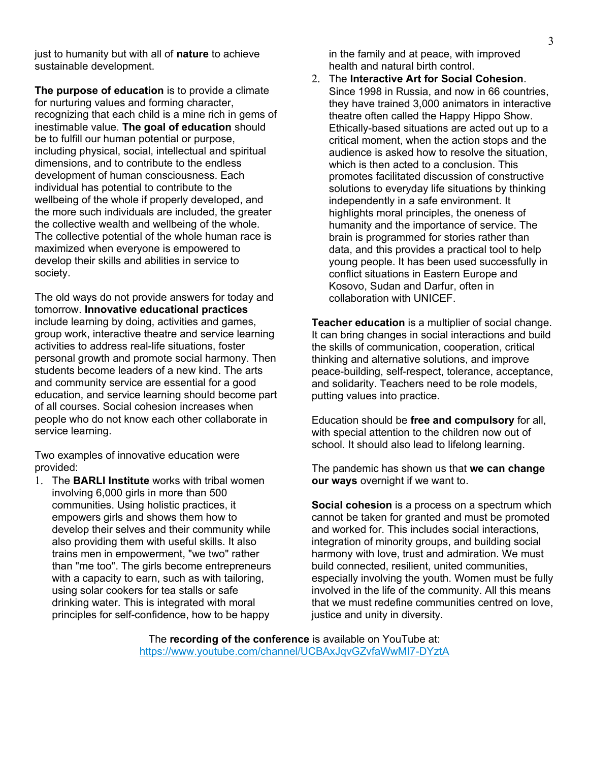just to humanity but with all of **nature** to achieve sustainable development.

**The purpose of education** is to provide a climate for nurturing values and forming character, recognizing that each child is a mine rich in gems of inestimable value. **The goal of education** should be to fulfill our human potential or purpose, including physical, social, intellectual and spiritual dimensions, and to contribute to the endless development of human consciousness. Each individual has potential to contribute to the wellbeing of the whole if properly developed, and the more such individuals are included, the greater the collective wealth and wellbeing of the whole. The collective potential of the whole human race is maximized when everyone is empowered to develop their skills and abilities in service to society.

The old ways do not provide answers for today and tomorrow. **Innovative educational practices** include learning by doing, activities and games, group work, interactive theatre and service learning activities to address real-life situations, foster personal growth and promote social harmony. Then students become leaders of a new kind. The arts and community service are essential for a good education, and service learning should become part of all courses. Social cohesion increases when people who do not know each other collaborate in service learning.

Two examples of innovative education were provided:

1. The **BARLI Institute** works with tribal women involving 6,000 girls in more than 500 communities. Using holistic practices, it empowers girls and shows them how to develop their selves and their community while also providing them with useful skills. It also trains men in empowerment, "we two" rather than "me too". The girls become entrepreneurs with a capacity to earn, such as with tailoring, using solar cookers for tea stalls or safe drinking water. This is integrated with moral principles for self-confidence, how to be happy

in the family and at peace, with improved health and natural birth control.

2. The **Interactive Art for Social Cohesion**. Since 1998 in Russia, and now in 66 countries, they have trained 3,000 animators in interactive theatre often called the Happy Hippo Show. Ethically-based situations are acted out up to a critical moment, when the action stops and the audience is asked how to resolve the situation, which is then acted to a conclusion. This promotes facilitated discussion of constructive solutions to everyday life situations by thinking independently in a safe environment. It highlights moral principles, the oneness of humanity and the importance of service. The brain is programmed for stories rather than data, and this provides a practical tool to help young people. It has been used successfully in conflict situations in Eastern Europe and Kosovo, Sudan and Darfur, often in collaboration with UNICEF.

**Teacher education** is a multiplier of social change. It can bring changes in social interactions and build the skills of communication, cooperation, critical thinking and alternative solutions, and improve peace-building, self-respect, tolerance, acceptance, and solidarity. Teachers need to be role models, putting values into practice.

Education should be **free and compulsory** for all, with special attention to the children now out of school. It should also lead to lifelong learning.

The pandemic has shown us that **we can change our ways** overnight if we want to.

**Social cohesion** is a process on a spectrum which cannot be taken for granted and must be promoted and worked for. This includes social interactions, integration of minority groups, and building social harmony with love, trust and admiration. We must build connected, resilient, united communities, especially involving the youth. Women must be fully involved in the life of the community. All this means that we must redefine communities centred on love, justice and unity in diversity.

The **recording of the conference** is available on YouTube at: <https://www.youtube.com/channel/UCBAxJqvGZvfaWwMI7-DYztA>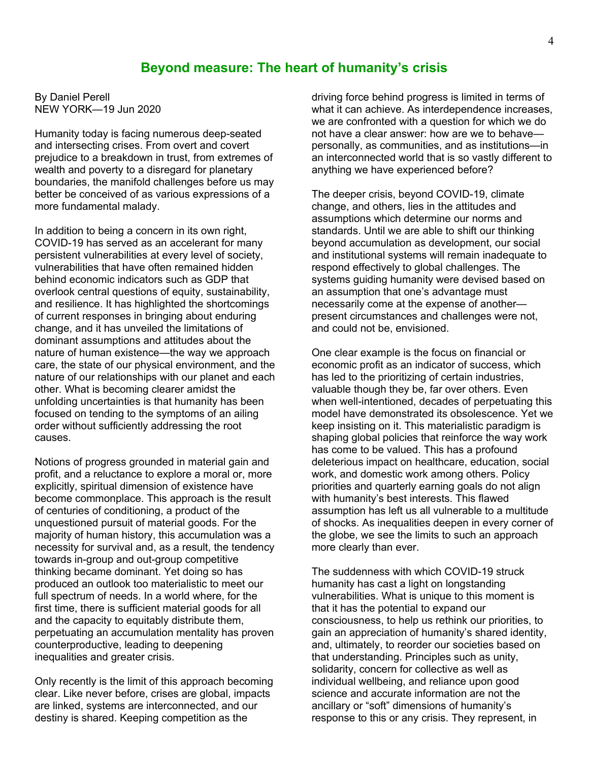## **Beyond measure: The heart of humanity's crisis**

By Daniel Perell NEW YORK—19 Jun 2020

Humanity today is facing numerous deep-seated and intersecting crises. From overt and covert prejudice to a breakdown in trust, from extremes of wealth and poverty to a disregard for planetary boundaries, the manifold challenges before us may better be conceived of as various expressions of a more fundamental malady.

In addition to being a concern in its own right, COVID-19 has served as an accelerant for many persistent vulnerabilities at every level of society, vulnerabilities that have often remained hidden behind economic indicators such as GDP that overlook central questions of equity, sustainability, and resilience. It has highlighted the shortcomings of current responses in bringing about enduring change, and it has unveiled the limitations of dominant assumptions and attitudes about the nature of human existence—the way we approach care, the state of our physical environment, and the nature of our relationships with our planet and each other. What is becoming clearer amidst the unfolding uncertainties is that humanity has been focused on tending to the symptoms of an ailing order without sufficiently addressing the root causes.

Notions of progress grounded in material gain and profit, and a reluctance to explore a moral or, more explicitly, spiritual dimension of existence have become commonplace. This approach is the result of centuries of conditioning, a product of the unquestioned pursuit of material goods. For the majority of human history, this accumulation was a necessity for survival and, as a result, the tendency towards in-group and out-group competitive thinking became dominant. Yet doing so has produced an outlook too materialistic to meet our full spectrum of needs. In a world where, for the first time, there is sufficient material goods for all and the capacity to equitably distribute them, perpetuating an accumulation mentality has proven counterproductive, leading to deepening inequalities and greater crisis.

Only recently is the limit of this approach becoming clear. Like never before, crises are global, impacts are linked, systems are interconnected, and our destiny is shared. Keeping competition as the

driving force behind progress is limited in terms of what it can achieve. As interdependence increases, we are confronted with a question for which we do not have a clear answer: how are we to behave personally, as communities, and as institutions—in an interconnected world that is so vastly different to anything we have experienced before?

The deeper crisis, beyond COVID-19, climate change, and others, lies in the attitudes and assumptions which determine our norms and standards. Until we are able to shift our thinking beyond accumulation as development, our social and institutional systems will remain inadequate to respond effectively to global challenges. The systems guiding humanity were devised based on an assumption that one's advantage must necessarily come at the expense of another present circumstances and challenges were not, and could not be, envisioned.

One clear example is the focus on financial or economic profit as an indicator of success, which has led to the prioritizing of certain industries, valuable though they be, far over others. Even when well-intentioned, decades of perpetuating this model have demonstrated its obsolescence. Yet we keep insisting on it. This materialistic paradigm is shaping global policies that reinforce the way work has come to be valued. This has a profound deleterious impact on healthcare, education, social work, and domestic work among others. Policy priorities and quarterly earning goals do not align with humanity's best interests. This flawed assumption has left us all vulnerable to a multitude of shocks. As inequalities deepen in every corner of the globe, we see the limits to such an approach more clearly than ever.

The suddenness with which COVID-19 struck humanity has cast a light on longstanding vulnerabilities. What is unique to this moment is that it has the potential to expand our consciousness, to help us rethink our priorities, to gain an appreciation of humanity's shared identity, and, ultimately, to reorder our societies based on that understanding. Principles such as unity, solidarity, concern for collective as well as individual wellbeing, and reliance upon good science and accurate information are not the ancillary or "soft" dimensions of humanity's response to this or any crisis. They represent, in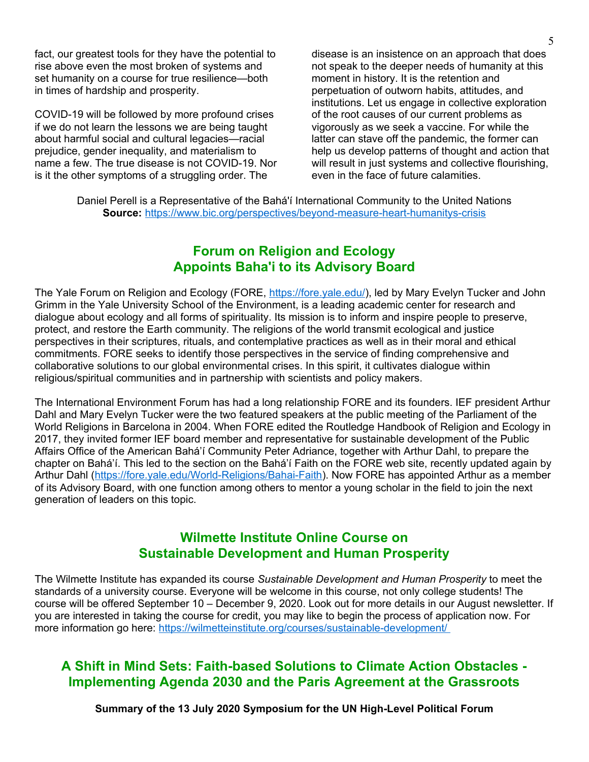fact, our greatest tools for they have the potential to rise above even the most broken of systems and set humanity on a course for true resilience—both in times of hardship and prosperity.

COVID-19 will be followed by more profound crises if we do not learn the lessons we are being taught about harmful social and cultural legacies—racial prejudice, gender inequality, and materialism to name a few. The true disease is not COVID-19. Nor is it the other symptoms of a struggling order. The

disease is an insistence on an approach that does not speak to the deeper needs of humanity at this moment in history. It is the retention and perpetuation of outworn habits, attitudes, and institutions. Let us engage in collective exploration of the root causes of our current problems as vigorously as we seek a vaccine. For while the latter can stave off the pandemic, the former can help us develop patterns of thought and action that will result in just systems and collective flourishing, even in the face of future calamities.

Daniel Perell is a Representative of the Bahá'í International Community to the United Nations **Source:** <https://www.bic.org/perspectives/beyond-measure-heart-humanitys-crisis>

## **Forum on Religion and Ecology Appoints Baha'i to its Advisory Board**

The Yale Forum on Religion and Ecology (FORE, [https://fore.yale.edu/\)](https://fore.yale.edu/), led by Mary Evelyn Tucker and John Grimm in the Yale University School of the Environment, is a leading academic center for research and dialogue about ecology and all forms of spirituality. Its mission is to inform and inspire people to preserve, protect, and restore the Earth community. The religions of the world transmit ecological and justice perspectives in their scriptures, rituals, and contemplative practices as well as in their moral and ethical commitments. FORE seeks to identify those perspectives in the service of finding comprehensive and collaborative solutions to our global environmental crises. In this spirit, it cultivates dialogue within religious/spiritual communities and in partnership with scientists and policy makers.

The International Environment Forum has had a long relationship FORE and its founders. IEF president Arthur Dahl and Mary Evelyn Tucker were the two featured speakers at the public meeting of the Parliament of the World Religions in Barcelona in 2004. When FORE edited the Routledge Handbook of Religion and Ecology in 2017, they invited former IEF board member and representative for sustainable development of the Public Affairs Office of the American Bahá'í Community Peter Adriance, together with Arthur Dahl, to prepare the chapter on Bahá'í. This led to the section on the Bahá'í Faith on the FORE web site, recently updated again by Arthur Dahl [\(https://fore.yale.edu/World-Religions/Bahai-Faith\)](https://fore.yale.edu/World-Religions/Bahai-Faith). Now FORE has appointed Arthur as a member of its Advisory Board, with one function among others to mentor a young scholar in the field to join the next generation of leaders on this topic.

## **Wilmette Institute Online Course on Sustainable Development and Human Prosperity**

The Wilmette Institute has expanded its course *Sustainable Development and Human Prosperity* to meet the standards of a university course. Everyone will be welcome in this course, not only college students! The course will be offered September 10 – December 9, 2020. Look out for more details in our August newsletter. If you are interested in taking the course for credit, you may like to begin the process of application now. For more information go here:<https://wilmetteinstitute.org/courses/sustainable-development/>

# **A Shift in Mind Sets: Faith-based Solutions to Climate Action Obstacles - Implementing Agenda 2030 and the Paris Agreement at the Grassroots**

**Summary of the 13 July 2020 Symposium for the UN High-Level Political Forum**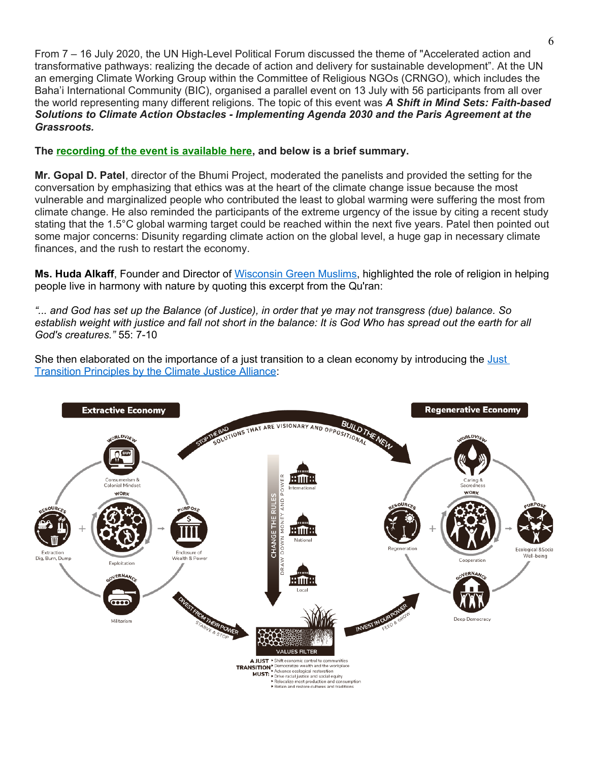From 7 – 16 July 2020, the UN High-Level Political Forum discussed the theme of "Accelerated action and transformative pathways: realizing the decade of action and delivery for sustainable development". At the UN an emerging Climate Working Group within the Committee of Religious NGOs (CRNGO), which includes the Baha'i International Community (BIC), organised a parallel event on 13 July with 56 participants from all over the world representing many different religions. The topic of this event was *A Shift in Mind Sets: Faith-based Solutions to Climate Action Obstacles - Implementing Agenda 2030 and the Paris Agreement at the Grassroots.*

### **The [recording of the event is available here,](https://zoom.us/rec/play/uZctIuz-_Wk3GIXE5ASDAKV4W42-L6Os1ykbqfoPz06wVnEKMQajY7NAYuesXS9m8ZZKA7RvggPA-p_P?continueMode=true&_x_zm_rtaid=NsWsMjO6ST-com67MKmJww.1594820739291.3aa3d15ce67972d15ced243c414ad075&_x_zm_rhtaid=894) and below is a brief summary.**

**Mr. Gopal D. Patel**, director of the Bhumi Project, moderated the panelists and provided the setting for the conversation by emphasizing that ethics was at the heart of the climate change issue because the most vulnerable and marginalized people who contributed the least to global warming were suffering the most from climate change. He also reminded the participants of the extreme urgency of the issue by citing a recent study stating that the 1.5°C global warming target could be reached within the next five years. Patel then pointed out some major concerns: Disunity regarding climate action on the global level, a huge gap in necessary climate finances, and the rush to restart the economy.

**Ms. Huda Alkaff**, Founder and Director of [Wisconsin Green Muslims,](https://wisconsingreenmuslims.org/) highlighted the role of religion in helping people live in harmony with nature by quoting this excerpt from the Qu'ran:

*"... and God has set up the Balance (of Justice), in order that ye may not transgress (due) balance. So*  establish weight with justice and fall not short in the balance: It is God Who has spread out the earth for all *God's creatures."* 55: 7-10

She then elaborated on the importance of a just transition to a clean economy by introducing the Just [Transition Principles by the Climate Justice Alliance:](https://climatejusticealliance.org/just-transition/)

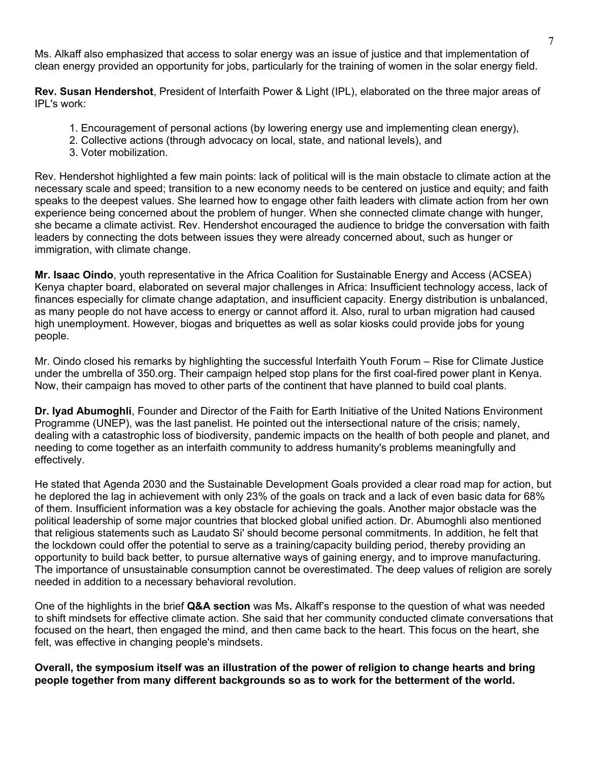Ms. Alkaff also emphasized that access to solar energy was an issue of justice and that implementation of clean energy provided an opportunity for jobs, particularly for the training of women in the solar energy field.

**Rev. Susan Hendershot**, President of Interfaith Power & Light (IPL), elaborated on the three major areas of IPL's work:

- 1. Encouragement of personal actions (by lowering energy use and implementing clean energy),
- 2. Collective actions (through advocacy on local, state, and national levels), and
- 3. Voter mobilization.

Rev. Hendershot highlighted a few main points: lack of political will is the main obstacle to climate action at the necessary scale and speed; transition to a new economy needs to be centered on justice and equity; and faith speaks to the deepest values. She learned how to engage other faith leaders with climate action from her own experience being concerned about the problem of hunger. When she connected climate change with hunger, she became a climate activist. Rev. Hendershot encouraged the audience to bridge the conversation with faith leaders by connecting the dots between issues they were already concerned about, such as hunger or immigration, with climate change.

**Mr. Isaac Oindo**, youth representative in the Africa Coalition for Sustainable Energy and Access (ACSEA) Kenya chapter board, elaborated on several major challenges in Africa: Insufficient technology access, lack of finances especially for climate change adaptation, and insufficient capacity. Energy distribution is unbalanced, as many people do not have access to energy or cannot afford it. Also, rural to urban migration had caused high unemployment. However, biogas and briquettes as well as solar kiosks could provide jobs for young people.

Mr. Oindo closed his remarks by highlighting the successful Interfaith Youth Forum – Rise for Climate Justice under the umbrella of 350.org. Their campaign helped stop plans for the first coal-fired power plant in Kenya. Now, their campaign has moved to other parts of the continent that have planned to build coal plants.

**Dr. Iyad Abumoghli**, Founder and Director of the Faith for Earth Initiative of the United Nations Environment Programme (UNEP), was the last panelist. He pointed out the intersectional nature of the crisis; namely, dealing with a catastrophic loss of biodiversity, pandemic impacts on the health of both people and planet, and needing to come together as an interfaith community to address humanity's problems meaningfully and effectively.

He stated that Agenda 2030 and the Sustainable Development Goals provided a clear road map for action, but he deplored the lag in achievement with only 23% of the goals on track and a lack of even basic data for 68% of them. Insufficient information was a key obstacle for achieving the goals. Another major obstacle was the political leadership of some major countries that blocked global unified action. Dr. Abumoghli also mentioned that religious statements such as Laudato Si' should become personal commitments. In addition, he felt that the lockdown could offer the potential to serve as a training/capacity building period, thereby providing an opportunity to build back better, to pursue alternative ways of gaining energy, and to improve manufacturing. The importance of unsustainable consumption cannot be overestimated. The deep values of religion are sorely needed in addition to a necessary behavioral revolution.

One of the highlights in the brief **Q&A section** was Ms**.** Alkaff's response to the question of what was needed to shift mindsets for effective climate action. She said that her community conducted climate conversations that focused on the heart, then engaged the mind, and then came back to the heart. This focus on the heart, she felt, was effective in changing people's mindsets.

**Overall, the symposium itself was an illustration of the power of religion to change hearts and bring people together from many different backgrounds so as to work for the betterment of the world.**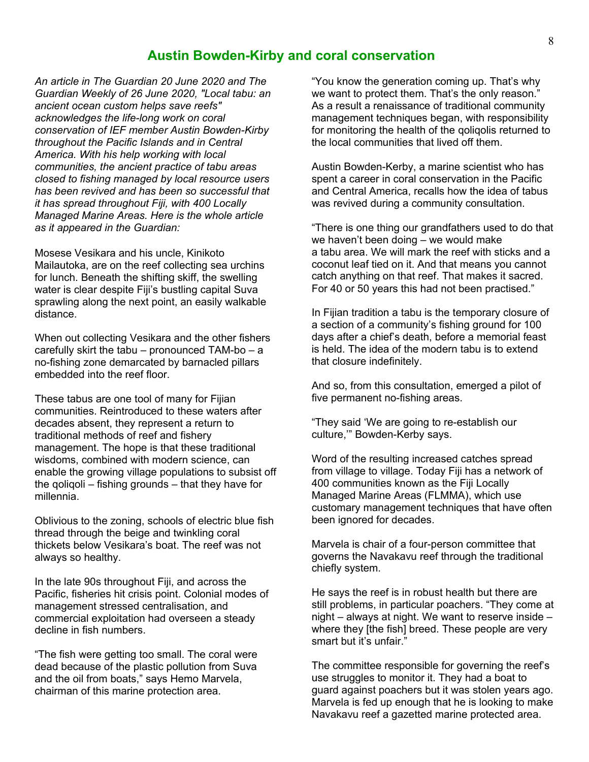## **Austin Bowden-Kirby and coral conservation**

*An article in The Guardian 20 June 2020 and The Guardian Weekly of 26 June 2020, "Local tabu: an ancient ocean custom helps save reefs" acknowledges the life-long work on coral conservation of IEF member Austin Bowden-Kirby throughout the Pacific Islands and in Central America. With his help working with local communities, the ancient practice of tabu areas closed to fishing managed by local resource users has been revived and has been so successful that it has spread throughout Fiji, with 400 Locally Managed Marine Areas. Here is the whole article as it appeared in the Guardian:*

Mosese Vesikara and his uncle, Kinikoto Mailautoka, are on the reef collecting sea urchins for lunch. Beneath the shifting skiff, the swelling water is clear despite Fiji's bustling capital Suva sprawling along the next point, an easily walkable distance.

When out collecting Vesikara and the other fishers carefully skirt the tabu – pronounced TAM-bo – a no-fishing zone demarcated by barnacled pillars embedded into the reef floor.

These tabus are one tool of many for Fijian communities. Reintroduced to these waters after decades absent, they represent a return to traditional methods of reef and fishery management. The hope is that these traditional wisdoms, combined with modern science, can enable the growing village populations to subsist off the qoliqoli – fishing grounds – that they have for millennia.

Oblivious to the zoning, schools of electric blue fish thread through the beige and twinkling coral thickets below Vesikara's boat. The reef was not always so healthy.

In the late 90s throughout Fiji, and across the Pacific, fisheries hit crisis point. Colonial modes of management stressed centralisation, and commercial exploitation had overseen a steady decline in fish numbers.

"The fish were getting too small. The coral were dead because of the plastic pollution from Suva and the oil from boats," says Hemo Marvela, chairman of this marine protection area.

"You know the generation coming up. That's why we want to protect them. That's the only reason." As a result a renaissance of traditional community management techniques began, with responsibility for monitoring the health of the qoliqolis returned to the local communities that lived off them.

Austin Bowden-Kerby, a marine scientist who has spent a career in coral conservation in the Pacific and Central America, recalls how the idea of tabus was revived during a community consultation.

"There is one thing our grandfathers used to do that we haven't been doing – we would make a tabu area. We will mark the reef with sticks and a coconut leaf tied on it. And that means you cannot catch anything on that reef. That makes it sacred. For 40 or 50 years this had not been practised."

In Fijian tradition a tabu is the temporary closure of a section of a community's fishing ground for 100 days after a chief's death, before a memorial feast is held. The idea of the modern tabu is to extend that closure indefinitely.

And so, from this consultation, emerged a pilot of five permanent no-fishing areas.

"They said 'We are going to re-establish our culture,'" Bowden-Kerby says.

Word of the resulting increased catches spread from village to village. Today Fiji has a network of 400 communities known as the Fiji Locally Managed Marine Areas (FLMMA), which use customary management techniques that have often been ignored for decades.

Marvela is chair of a four-person committee that governs the Navakavu reef through the traditional chiefly system.

He says the reef is in robust health but there are still problems, in particular poachers. "They come at night – always at night. We want to reserve inside – where they [the fish] breed. These people are very smart but it's unfair."

The committee responsible for governing the reef's use struggles to monitor it. They had a boat to guard against poachers but it was stolen years ago. Marvela is fed up enough that he is looking to make Navakavu reef a gazetted marine protected area.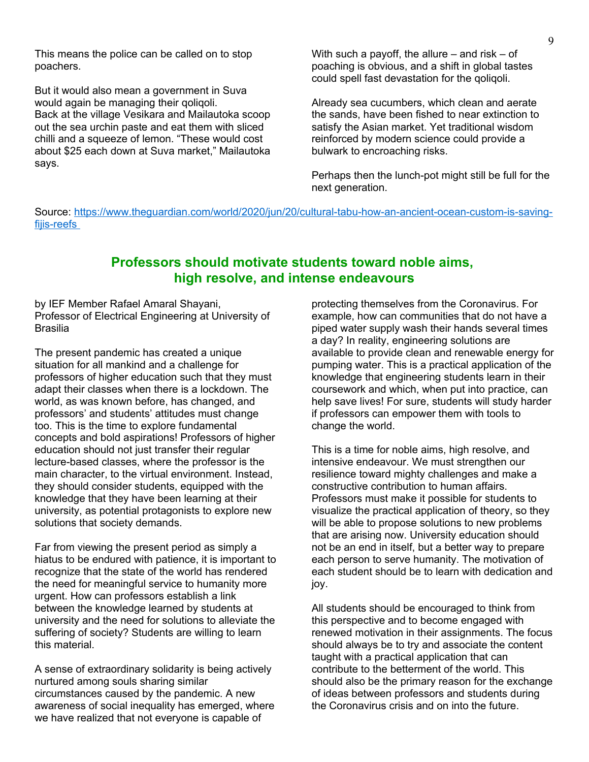This means the police can be called on to stop poachers.

But it would also mean a government in Suva would again be managing their qoliqoli. Back at the village Vesikara and Mailautoka scoop out the sea urchin paste and eat them with sliced chilli and a squeeze of lemon. "These would cost about \$25 each down at Suva market," Mailautoka says.

With such a payoff, the allure  $-$  and risk  $-$  of poaching is obvious, and a shift in global tastes could spell fast devastation for the qoliqoli.

Already sea cucumbers, which clean and aerate the sands, have been fished to near extinction to satisfy the Asian market. Yet traditional wisdom reinforced by modern science could provide a bulwark to encroaching risks.

Perhaps then the lunch-pot might still be full for the next generation.

Source: [https://www.theguardian.com/world/2020/jun/20/cultural-tabu-how-an-ancient-ocean-custom-is-saving](https://www.theguardian.com/world/2020/jun/20/cultural-tabu-how-an-ancient-ocean-custom-is-saving-fijis-reefs)  [fijis-reefs](https://www.theguardian.com/world/2020/jun/20/cultural-tabu-how-an-ancient-ocean-custom-is-saving-fijis-reefs)

# **Professors should motivate students toward noble aims, high resolve, and intense endeavours**

by IEF Member Rafael Amaral Shayani, Professor of Electrical Engineering at University of Brasilia

The present pandemic has created a unique situation for all mankind and a challenge for professors of higher education such that they must adapt their classes when there is a lockdown. The world, as was known before, has changed, and professors' and students' attitudes must change too. This is the time to explore fundamental concepts and bold aspirations! Professors of higher education should not just transfer their regular lecture-based classes, where the professor is the main character, to the virtual environment. Instead, they should consider students, equipped with the knowledge that they have been learning at their university, as potential protagonists to explore new solutions that society demands.

Far from viewing the present period as simply a hiatus to be endured with patience, it is important to recognize that the state of the world has rendered the need for meaningful service to humanity more urgent. How can professors establish a link between the knowledge learned by students at university and the need for solutions to alleviate the suffering of society? Students are willing to learn this material.

A sense of extraordinary solidarity is being actively nurtured among souls sharing similar circumstances caused by the pandemic. A new awareness of social inequality has emerged, where we have realized that not everyone is capable of

protecting themselves from the Coronavirus. For example, how can communities that do not have a piped water supply wash their hands several times a day? In reality, engineering solutions are available to provide clean and renewable energy for pumping water. This is a practical application of the knowledge that engineering students learn in their coursework and which, when put into practice, can help save lives! For sure, students will study harder if professors can empower them with tools to change the world.

This is a time for noble aims, high resolve, and intensive endeavour. We must strengthen our resilience toward mighty challenges and make a constructive contribution to human affairs. Professors must make it possible for students to visualize the practical application of theory, so they will be able to propose solutions to new problems that are arising now. University education should not be an end in itself, but a better way to prepare each person to serve humanity. The motivation of each student should be to learn with dedication and joy.

All students should be encouraged to think from this perspective and to become engaged with renewed motivation in their assignments. The focus should always be to try and associate the content taught with a practical application that can contribute to the betterment of the world. This should also be the primary reason for the exchange of ideas between professors and students during the Coronavirus crisis and on into the future.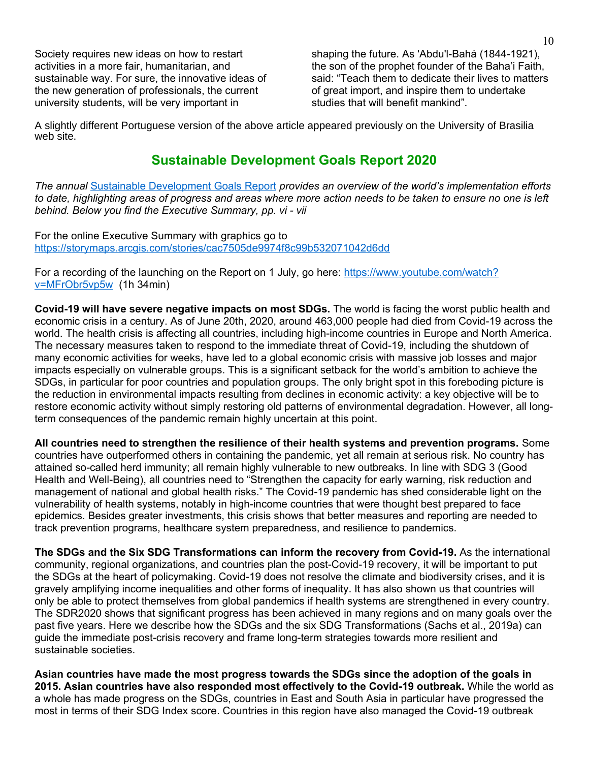Society requires new ideas on how to restart activities in a more fair, humanitarian, and sustainable way. For sure, the innovative ideas of the new generation of professionals, the current university students, will be very important in

shaping the future. As 'Abdu'l-Bahá (1844-1921), the son of the prophet founder of the Baha'i Faith, said: "Teach them to dedicate their lives to matters of great import, and inspire them to undertake studies that will benefit mankind".

A slightly different Portuguese version of the above article appeared previously on the University of Brasilia web site.

# **Sustainable Development Goals Report 2020**

*The annual* [Sustainable Development Goals Report](https://unstats.un.org/sdgs/report/2020/) *provides an overview of the world's implementation efforts to date, highlighting areas of progress and areas where more action needs to be taken to ensure no one is left behind. Below you find the Executive Summary, pp. vi - vii*

For the online Executive Summary with graphics go to <https://storymaps.arcgis.com/stories/cac7505de9974f8c99b532071042d6dd>

For a recording of the launching on the Report on 1 July, go here: [https://www.youtube.com/watch?](https://www.youtube.com/watch?v=MFrObr5vp5w) [v=MFrObr5vp5w](https://www.youtube.com/watch?v=MFrObr5vp5w) (1h 34min)

**Covid-19 will have severe negative impacts on most SDGs.** The world is facing the worst public health and economic crisis in a century. As of June 20th, 2020, around 463,000 people had died from Covid-19 across the world. The health crisis is affecting all countries, including high-income countries in Europe and North America. The necessary measures taken to respond to the immediate threat of Covid-19, including the shutdown of many economic activities for weeks, have led to a global economic crisis with massive job losses and major impacts especially on vulnerable groups. This is a significant setback for the world's ambition to achieve the SDGs, in particular for poor countries and population groups. The only bright spot in this foreboding picture is the reduction in environmental impacts resulting from declines in economic activity: a key objective will be to restore economic activity without simply restoring old patterns of environmental degradation. However, all longterm consequences of the pandemic remain highly uncertain at this point.

**All countries need to strengthen the resilience of their health systems and prevention programs.** Some countries have outperformed others in containing the pandemic, yet all remain at serious risk. No country has attained so-called herd immunity; all remain highly vulnerable to new outbreaks. In line with SDG 3 (Good Health and Well-Being), all countries need to "Strengthen the capacity for early warning, risk reduction and management of national and global health risks." The Covid-19 pandemic has shed considerable light on the vulnerability of health systems, notably in high-income countries that were thought best prepared to face epidemics. Besides greater investments, this crisis shows that better measures and reporting are needed to track prevention programs, healthcare system preparedness, and resilience to pandemics.

**The SDGs and the Six SDG Transformations can inform the recovery from Covid-19.** As the international community, regional organizations, and countries plan the post-Covid-19 recovery, it will be important to put the SDGs at the heart of policymaking. Covid-19 does not resolve the climate and biodiversity crises, and it is gravely amplifying income inequalities and other forms of inequality. It has also shown us that countries will only be able to protect themselves from global pandemics if health systems are strengthened in every country. The SDR2020 shows that significant progress has been achieved in many regions and on many goals over the past five years. Here we describe how the SDGs and the six SDG Transformations (Sachs et al., 2019a) can guide the immediate post-crisis recovery and frame long-term strategies towards more resilient and sustainable societies.

**Asian countries have made the most progress towards the SDGs since the adoption of the goals in 2015. Asian countries have also responded most effectively to the Covid-19 outbreak.** While the world as a whole has made progress on the SDGs, countries in East and South Asia in particular have progressed the most in terms of their SDG Index score. Countries in this region have also managed the Covid-19 outbreak